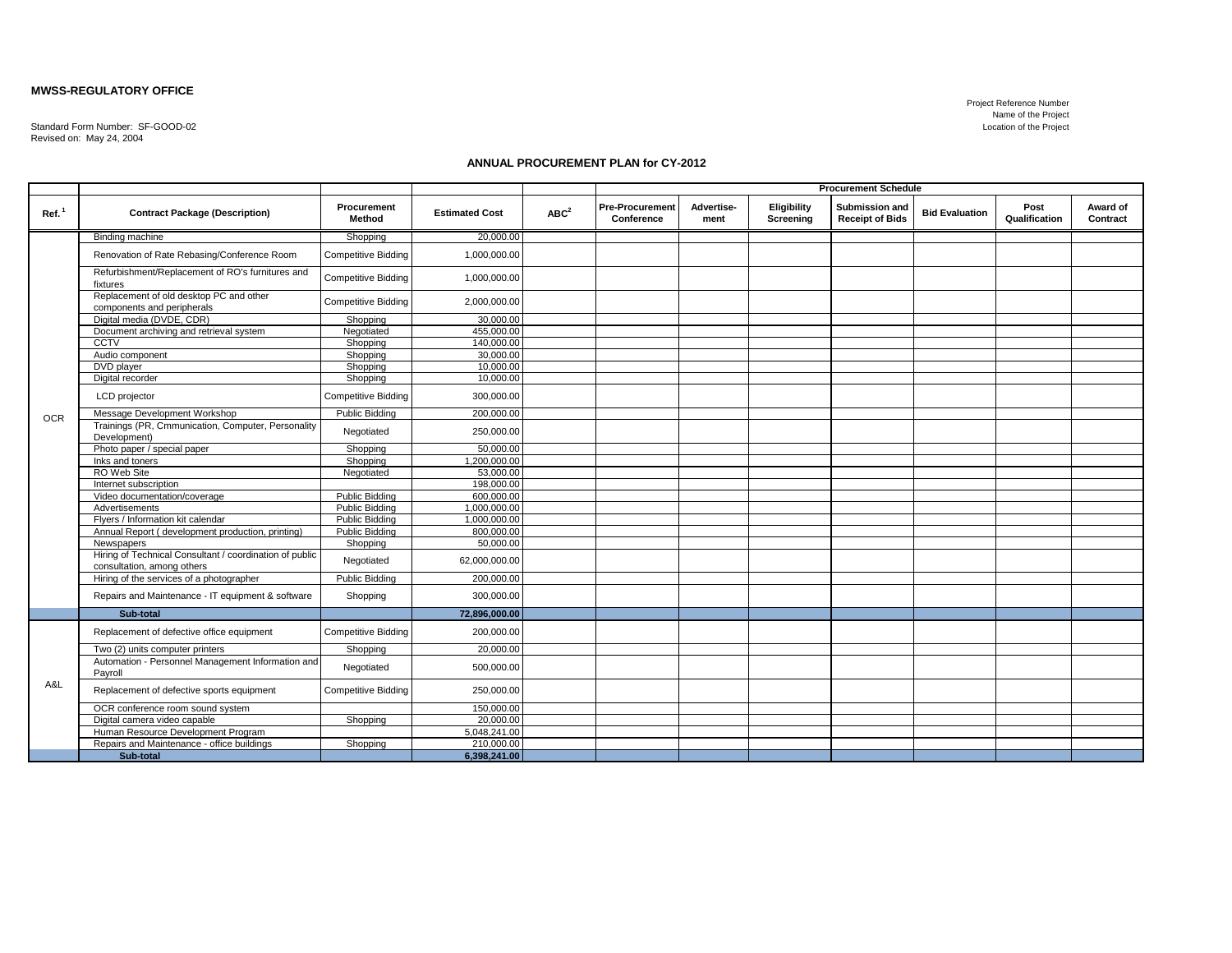## **MWSS-REGULATORY OFFICE**

Standard Form Number: SF-GOOD-02 Revised on: May 24, 2004

## **ANNUAL PROCUREMENT PLAN for CY-2012**

|                   |                                                                                       |                            |                       |                  | <b>Procurement Schedule</b>   |                    |                          |                                                 |                       |                       |                      |
|-------------------|---------------------------------------------------------------------------------------|----------------------------|-----------------------|------------------|-------------------------------|--------------------|--------------------------|-------------------------------------------------|-----------------------|-----------------------|----------------------|
| Ref. <sup>1</sup> | <b>Contract Package (Description)</b>                                                 | Procurement<br>Method      | <b>Estimated Cost</b> | ABC <sup>2</sup> | Pre-Procurement<br>Conference | Advertise-<br>ment | Eligibility<br>Screening | <b>Submission and</b><br><b>Receipt of Bids</b> | <b>Bid Evaluation</b> | Post<br>Qualification | Award of<br>Contract |
|                   | Binding machine                                                                       | Shopping                   | 20,000.00             |                  |                               |                    |                          |                                                 |                       |                       |                      |
|                   | Renovation of Rate Rebasing/Conference Room                                           | <b>Competitive Bidding</b> | 1,000,000.00          |                  |                               |                    |                          |                                                 |                       |                       |                      |
|                   | Refurbishment/Replacement of RO's furnitures and<br>fixtures                          | <b>Competitive Bidding</b> | 1,000,000.00          |                  |                               |                    |                          |                                                 |                       |                       |                      |
|                   | Replacement of old desktop PC and other<br>components and peripherals                 | <b>Competitive Bidding</b> | 2,000,000.00          |                  |                               |                    |                          |                                                 |                       |                       |                      |
|                   | Digital media (DVDE, CDR)                                                             | Shopping                   | 30,000.00             |                  |                               |                    |                          |                                                 |                       |                       |                      |
|                   | Document archiving and retrieval system                                               | Negotiated                 | 455,000.00            |                  |                               |                    |                          |                                                 |                       |                       |                      |
|                   | <b>CCTV</b>                                                                           | Shopping                   | 140,000,00            |                  |                               |                    |                          |                                                 |                       |                       |                      |
|                   | Audio component                                                                       | Shopping                   | 30,000,00             |                  |                               |                    |                          |                                                 |                       |                       |                      |
|                   | DVD player                                                                            | Shopping                   | 10.000.00             |                  |                               |                    |                          |                                                 |                       |                       |                      |
|                   | Digital recorder                                                                      | Shopping                   | 10,000.00             |                  |                               |                    |                          |                                                 |                       |                       |                      |
| <b>OCR</b>        | LCD projector                                                                         | <b>Competitive Bidding</b> | 300,000.00            |                  |                               |                    |                          |                                                 |                       |                       |                      |
|                   | Message Development Workshop                                                          | <b>Public Bidding</b>      | 200,000.00            |                  |                               |                    |                          |                                                 |                       |                       |                      |
|                   | Trainings (PR, Cmmunication, Computer, Personality<br>Development)                    | Negotiated                 | 250,000.00            |                  |                               |                    |                          |                                                 |                       |                       |                      |
|                   | Photo paper / special paper                                                           | Shopping                   | 50,000,00             |                  |                               |                    |                          |                                                 |                       |                       |                      |
|                   | Inks and toners                                                                       | Shopping                   | 1,200,000.00          |                  |                               |                    |                          |                                                 |                       |                       |                      |
|                   | RO Web Site                                                                           | Negotiated                 | 53,000.00             |                  |                               |                    |                          |                                                 |                       |                       |                      |
|                   | Internet subscription                                                                 |                            | 198,000.00            |                  |                               |                    |                          |                                                 |                       |                       |                      |
|                   | Video documentation/coverage                                                          | <b>Public Bidding</b>      | 600,000.00            |                  |                               |                    |                          |                                                 |                       |                       |                      |
|                   | Advertisements                                                                        | <b>Public Bidding</b>      | 1,000,000.00          |                  |                               |                    |                          |                                                 |                       |                       |                      |
|                   | Flyers / Information kit calendar                                                     | Public Bidding             | 1.000.000.00          |                  |                               |                    |                          |                                                 |                       |                       |                      |
|                   | Annual Report (development production, printing)                                      | <b>Public Bidding</b>      | 800,000.00            |                  |                               |                    |                          |                                                 |                       |                       |                      |
|                   | Newspapers                                                                            | Shopping                   | 50,000.00             |                  |                               |                    |                          |                                                 |                       |                       |                      |
|                   | Hiring of Technical Consultant / coordination of public<br>consultation, among others | Negotiated                 | 62,000,000.00         |                  |                               |                    |                          |                                                 |                       |                       |                      |
|                   | Hiring of the services of a photographer                                              | <b>Public Bidding</b>      | 200,000.00            |                  |                               |                    |                          |                                                 |                       |                       |                      |
|                   | Repairs and Maintenance - IT equipment & software                                     | Shopping                   | 300,000.00            |                  |                               |                    |                          |                                                 |                       |                       |                      |
|                   | Sub-total                                                                             |                            | 72,896,000.00         |                  |                               |                    |                          |                                                 |                       |                       |                      |
| A&L               | Replacement of defective office equipment                                             | <b>Competitive Bidding</b> | 200,000.00            |                  |                               |                    |                          |                                                 |                       |                       |                      |
|                   | Two (2) units computer printers                                                       | Shopping                   | 20,000.00             |                  |                               |                    |                          |                                                 |                       |                       |                      |
|                   | Automation - Personnel Management Information and<br>Pavroll                          | Negotiated                 | 500,000.00            |                  |                               |                    |                          |                                                 |                       |                       |                      |
|                   | Replacement of defective sports equipment                                             | <b>Competitive Bidding</b> | 250,000.00            |                  |                               |                    |                          |                                                 |                       |                       |                      |
|                   | OCR conference room sound system                                                      |                            | 150,000,00            |                  |                               |                    |                          |                                                 |                       |                       |                      |
|                   | Digital camera video capable                                                          | Shopping                   | 20,000.00             |                  |                               |                    |                          |                                                 |                       |                       |                      |
|                   | Human Resource Development Program                                                    |                            | 5,048,241.00          |                  |                               |                    |                          |                                                 |                       |                       |                      |
|                   | Repairs and Maintenance - office buildings                                            | Shopping                   | 210,000.00            |                  |                               |                    |                          |                                                 |                       |                       |                      |
|                   | Sub-total                                                                             |                            | 6,398,241.00          |                  |                               |                    |                          |                                                 |                       |                       |                      |